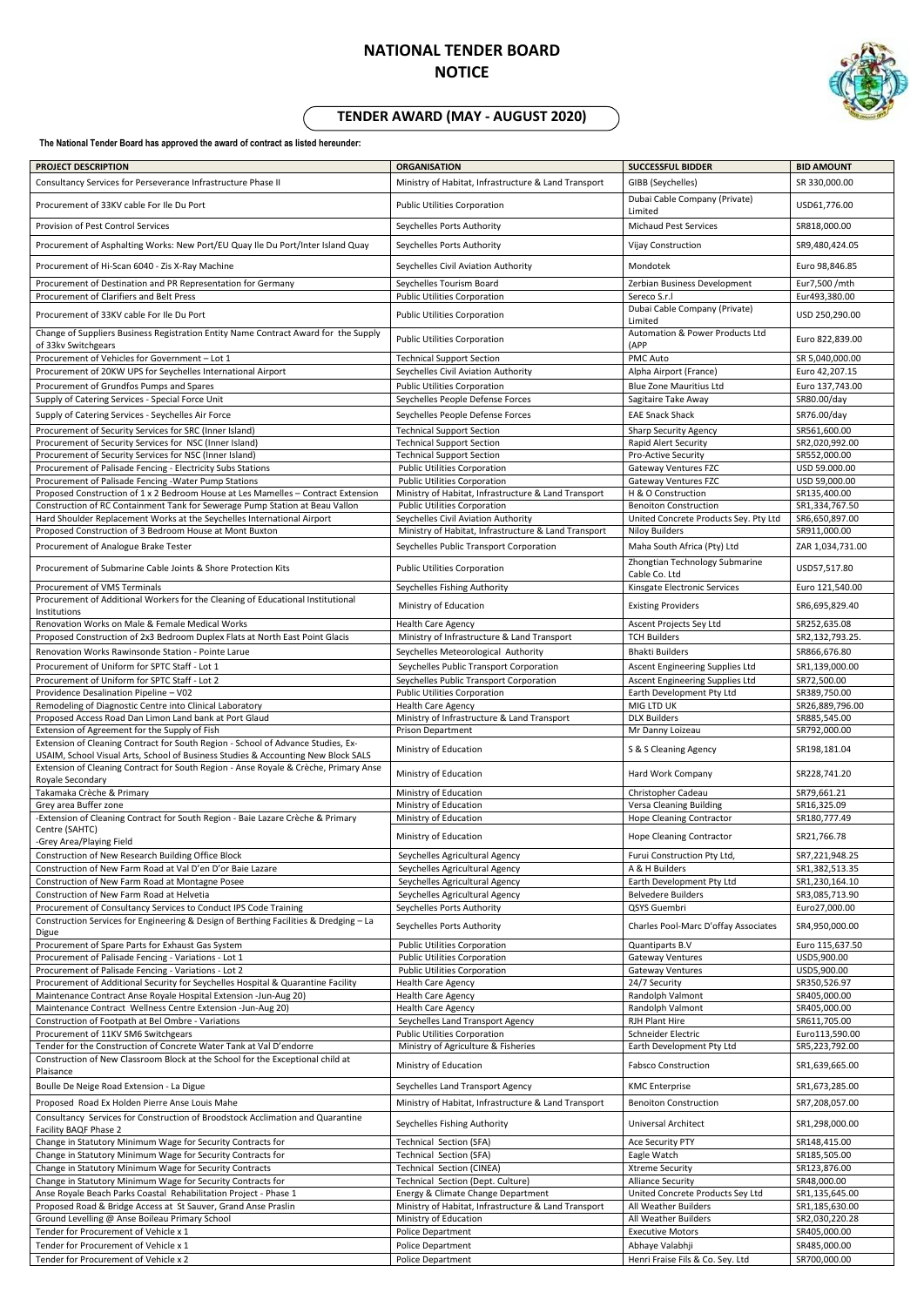## **NATIONAL TENDER BOARD NOTICE**



## **TENDER AWARD (MAY - AUGUST 2020)**

**The National Tender Board has approved the award of contract as listed hereunder:** 

| PROJECT DESCRIPTION                                                                                                                                  | <b>ORGANISATION</b>                                                                         | <b>SUCCESSFUL BIDDER</b>                                          | <b>BID AMOUNT</b>                |
|------------------------------------------------------------------------------------------------------------------------------------------------------|---------------------------------------------------------------------------------------------|-------------------------------------------------------------------|----------------------------------|
| Consultancy Services for Perseverance Infrastructure Phase II                                                                                        | Ministry of Habitat, Infrastructure & Land Transport                                        | GIBB (Seychelles)                                                 | SR 330,000.00                    |
|                                                                                                                                                      |                                                                                             | Dubai Cable Company (Private)                                     |                                  |
| Procurement of 33KV cable For Ile Du Port                                                                                                            | <b>Public Utilities Corporation</b>                                                         | Limited                                                           | USD61,776.00                     |
| Provision of Pest Control Services                                                                                                                   | Seychelles Ports Authority                                                                  | <b>Michaud Pest Services</b>                                      | SR818,000.00                     |
|                                                                                                                                                      |                                                                                             |                                                                   |                                  |
| Procurement of Asphalting Works: New Port/EU Quay Ile Du Port/Inter Island Quay                                                                      | Seychelles Ports Authority                                                                  | Vijay Construction                                                | SR9,480,424.05                   |
| Procurement of Hi-Scan 6040 - Zis X-Ray Machine                                                                                                      | Seychelles Civil Aviation Authority                                                         | Mondotek                                                          | Euro 98,846.85                   |
| Procurement of Destination and PR Representation for Germany                                                                                         | Seychelles Tourism Board                                                                    | Zerbian Business Development                                      | Eur7,500 /mth                    |
| Procurement of Clarifiers and Belt Press                                                                                                             | <b>Public Utilities Corporation</b>                                                         | Sereco S.r.l                                                      | Eur493,380.00                    |
| Procurement of 33KV cable For Ile Du Port                                                                                                            | <b>Public Utilities Corporation</b>                                                         | Dubai Cable Company (Private)                                     | USD 250,290.00                   |
|                                                                                                                                                      |                                                                                             | Limited                                                           |                                  |
| Change of Suppliers Business Registration Entity Name Contract Award for the Supply<br>of 33kv Switchgears                                           | <b>Public Utilities Corporation</b>                                                         | Automation & Power Products Ltd<br>(APP                           | Euro 822,839.00                  |
| Procurement of Vehicles for Government - Lot 1                                                                                                       | <b>Technical Support Section</b>                                                            | <b>PMC Auto</b>                                                   | SR 5,040,000.00                  |
| Procurement of 20KW UPS for Seychelles International Airport                                                                                         | Seychelles Civil Aviation Authority                                                         | Alpha Airport (France)                                            | Euro 42,207.15                   |
| Procurement of Grundfos Pumps and Spares                                                                                                             | <b>Public Utilities Corporation</b>                                                         | <b>Blue Zone Mauritius Ltd</b>                                    | Euro 137,743.00                  |
| Supply of Catering Services - Special Force Unit                                                                                                     | Seychelles People Defense Forces                                                            | Sagitaire Take Away                                               | SR80.00/day                      |
| Supply of Catering Services - Seychelles Air Force                                                                                                   | Seychelles People Defense Forces                                                            | <b>EAE Snack Shack</b>                                            | SR76.00/day                      |
| Procurement of Security Services for SRC (Inner Island)                                                                                              | <b>Technical Support Section</b>                                                            | <b>Sharp Security Agency</b>                                      | SR561,600.00                     |
| Procurement of Security Services for NSC (Inner Island)                                                                                              | <b>Technical Support Section</b>                                                            | Rapid Alert Security                                              | SR2,020,992.00                   |
| Procurement of Security Services for NSC (Inner Island)                                                                                              | <b>Technical Support Section</b>                                                            | Pro-Active Security                                               | SR552,000.00                     |
| Procurement of Palisade Fencing - Electricity Subs Stations                                                                                          | <b>Public Utilities Corporation</b>                                                         | <b>Gateway Ventures FZC</b>                                       | USD 59.000.00                    |
| Procurement of Palisade Fencing -Water Pump Stations<br>Proposed Construction of 1 x 2 Bedroom House at Les Mamelles - Contract Extension            | <b>Public Utilities Corporation</b><br>Ministry of Habitat, Infrastructure & Land Transport | <b>Gateway Ventures FZC</b><br>H & O Construction                 | USD 59,000.00<br>SR135,400.00    |
| Construction of RC Containment Tank for Sewerage Pump Station at Beau Vallon                                                                         | <b>Public Utilities Corporation</b>                                                         | <b>Benoiton Construction</b>                                      | SR1,334,767.50                   |
| Hard Shoulder Replacement Works at the Seychelles International Airport                                                                              | Seychelles Civil Aviation Authority                                                         | United Concrete Products Sey. Pty Ltd                             | SR6,650,897.00                   |
| Proposed Construction of 3 Bedroom House at Mont Buxton                                                                                              | Ministry of Habitat, Infrastructure & Land Transport                                        | <b>Niloy Builders</b>                                             | SR911,000.00                     |
| Procurement of Analogue Brake Tester                                                                                                                 | Seychelles Public Transport Corporation                                                     | Maha South Africa (Pty) Ltd                                       | ZAR 1,034,731.00                 |
| Procurement of Submarine Cable Joints & Shore Protection Kits                                                                                        | <b>Public Utilities Corporation</b>                                                         | Zhongtian Technology Submarine                                    | USD57,517.80                     |
|                                                                                                                                                      |                                                                                             | Cable Co. Ltd                                                     |                                  |
| Procurement of VMS Terminals                                                                                                                         | Seychelles Fishing Authority                                                                | Kinsgate Electronic Services                                      | Euro 121,540.00                  |
| Procurement of Additional Workers for the Cleaning of Educational Institutional<br>Institutions                                                      | Ministry of Education                                                                       | <b>Existing Providers</b>                                         | SR6,695,829.40                   |
| Renovation Works on Male & Female Medical Works                                                                                                      | <b>Health Care Agency</b>                                                                   | Ascent Projects Sey Ltd                                           | SR252,635.08                     |
| Proposed Construction of 2x3 Bedroom Duplex Flats at North East Point Glacis                                                                         | Ministry of Infrastructure & Land Transport                                                 | <b>TCH Builders</b>                                               | SR2,132,793.25.                  |
| Renovation Works Rawinsonde Station - Pointe Larue                                                                                                   | Seychelles Meteorological Authority                                                         | <b>Bhakti Builders</b>                                            | SR866,676.80                     |
| Procurement of Uniform for SPTC Staff - Lot 1                                                                                                        | Seychelles Public Transport Corporation                                                     | <b>Ascent Engineering Supplies Ltd</b>                            | SR1,139,000.00                   |
| Procurement of Uniform for SPTC Staff - Lot 2                                                                                                        | Seychelles Public Transport Corporation                                                     | Ascent Engineering Supplies Ltd                                   | SR72,500.00                      |
| Providence Desalination Pipeline - V02                                                                                                               | Public Utilities Corporation                                                                | Earth Development Pty Ltd                                         | SR389,750.00                     |
| Remodeling of Diagnostic Centre into Clinical Laboratory                                                                                             | <b>Health Care Agency</b>                                                                   | MIG LTD UK                                                        | SR26,889,796.00                  |
|                                                                                                                                                      |                                                                                             |                                                                   |                                  |
| Proposed Access Road Dan Limon Land bank at Port Glaud                                                                                               | Ministry of Infrastructure & Land Transport                                                 | <b>DLX Builders</b>                                               | SR885,545.00                     |
| Extension of Agreement for the Supply of Fish<br>Extension of Cleaning Contract for South Region - School of Advance Studies, Ex-                    | <b>Prison Department</b>                                                                    | Mr Danny Loizeau                                                  | SR792,000.00                     |
| USAIM, School Visual Arts, School of Business Studies & Accounting New Block SALS                                                                    | Ministry of Education                                                                       | S & S Cleaning Agency                                             | SR198,181.04                     |
| Extension of Cleaning Contract for South Region - Anse Royale & Crèche, Primary Anse                                                                 |                                                                                             |                                                                   |                                  |
| Royale Secondary                                                                                                                                     | Ministry of Education                                                                       | Hard Work Company                                                 | SR228,741.20                     |
| Takamaka Crèche & Primary                                                                                                                            | Ministry of Education                                                                       | Christopher Cadeau                                                | SR79,661.21                      |
| Grey area Buffer zone<br>-Extension of Cleaning Contract for South Region - Baie Lazare Crèche & Primary                                             | Ministry of Education<br>Ministry of Education                                              | <b>Versa Cleaning Building</b><br><b>Hope Cleaning Contractor</b> | SR16,325.09<br>SR180,777.49      |
| Centre (SAHTC)                                                                                                                                       |                                                                                             |                                                                   |                                  |
| -Grey Area/Playing Field                                                                                                                             | Ministry of Education                                                                       | <b>Hope Cleaning Contractor</b>                                   | SR21,766.78                      |
| Construction of New Research Building Office Block                                                                                                   | Seychelles Agricultural Agency                                                              | Furui Construction Pty Ltd,                                       | SR7,221,948.25                   |
| Construction of New Farm Road at Val D'en D'or Baie Lazare                                                                                           | Seychelles Agricultural Agency                                                              | A & H Builders                                                    | SR1,382,513.35                   |
| Construction of New Farm Road at Montagne Posee                                                                                                      | Seychelles Agricultural Agency                                                              | Earth Development Pty Ltd                                         | SR1,230,164.10                   |
| Construction of New Farm Road at Helvetia<br>Procurement of Consultancy Services to Conduct IPS Code Training                                        | Seychelles Agricultural Agency<br>Seychelles Ports Authority                                | <b>Belvedere Builders</b><br>QSYS Guembri                         | SR3,085,713.90<br>Euro27,000.00  |
| Construction Services for Engineering & Design of Berthing Facilities & Dredging - La                                                                |                                                                                             |                                                                   |                                  |
| Digue                                                                                                                                                | Seychelles Ports Authority                                                                  | Charles Pool-Marc D'offay Associates                              | SR4,950,000.00                   |
| Procurement of Spare Parts for Exhaust Gas System                                                                                                    | <b>Public Utilities Corporation</b>                                                         | Quantiparts B.V                                                   | Euro 115,637.50                  |
| Procurement of Palisade Fencing - Variations - Lot 1                                                                                                 | <b>Public Utilities Corporation</b>                                                         | <b>Gateway Ventures</b>                                           | USD5,900.00                      |
| Procurement of Palisade Fencing - Variations - Lot 2                                                                                                 | <b>Public Utilities Corporation</b>                                                         | <b>Gateway Ventures</b>                                           | USD5,900.00<br>SR350,526.97      |
| Procurement of Additional Security for Seychelles Hospital & Quarantine Facility<br>Maintenance Contract Anse Royale Hospital Extension -Jun-Aug 20) | <b>Health Care Agency</b><br><b>Health Care Agency</b>                                      | 24/7 Security<br>Randolph Valmont                                 | SR405,000.00                     |
| Maintenance Contract Wellness Centre Extension -Jun-Aug 20)                                                                                          | <b>Health Care Agency</b>                                                                   | Randolph Valmont                                                  | SR405,000.00                     |
| Construction of Footpath at Bel Ombre - Variations                                                                                                   | Seychelles Land Transport Agency                                                            | <b>RJH Plant Hire</b>                                             | SR611,705.00                     |
| Procurement of 11KV SM6 Switchgears                                                                                                                  | <b>Public Utilities Corporation</b>                                                         | Schneider Electric                                                | Euro113,590.00                   |
| Tender for the Construction of Concrete Water Tank at Val D'endorre                                                                                  | Ministry of Agriculture & Fisheries                                                         | Earth Development Pty Ltd                                         | SR5,223,792.00                   |
| Construction of New Classroom Block at the School for the Exceptional child at<br>Plaisance                                                          | Ministry of Education                                                                       | <b>Fabsco Construction</b>                                        | SR1,639,665.00                   |
| Boulle De Neige Road Extension - La Digue                                                                                                            | Seychelles Land Transport Agency                                                            | <b>KMC</b> Enterprise                                             | SR1,673,285.00                   |
|                                                                                                                                                      |                                                                                             |                                                                   |                                  |
| Proposed Road Ex Holden Pierre Anse Louis Mahe                                                                                                       | Ministry of Habitat, Infrastructure & Land Transport                                        | <b>Benoiton Construction</b>                                      | SR7,208,057.00                   |
| Consultancy Services for Construction of Broodstock Acclimation and Quarantine<br>Facility BAQF Phase 2                                              | Seychelles Fishing Authority                                                                | <b>Universal Architect</b>                                        | SR1,298,000.00                   |
| Change in Statutory Minimum Wage for Security Contracts for                                                                                          | Technical Section (SFA)                                                                     | Ace Security PTY                                                  | SR148,415.00                     |
| Change in Statutory Minimum Wage for Security Contracts for                                                                                          | Technical Section (SFA)                                                                     | Eagle Watch                                                       | SR185,505.00                     |
| Change in Statutory Minimum Wage for Security Contracts                                                                                              | Technical Section (CINEA)                                                                   | <b>Xtreme Security</b>                                            | SR123,876.00                     |
| Change in Statutory Minimum Wage for Security Contracts for                                                                                          | Technical Section (Dept. Culture)                                                           | <b>Alliance Security</b>                                          | SR48,000.00                      |
| Anse Royale Beach Parks Coastal Rehabilitation Project - Phase 1                                                                                     | Energy & Climate Change Department                                                          | United Concrete Products Sey Ltd                                  | SR1,135,645.00                   |
| Proposed Road & Bridge Access at St Sauver, Grand Anse Praslin<br>Ground Levelling @ Anse Boileau Primary School                                     | Ministry of Habitat, Infrastructure & Land Transport<br>Ministry of Education               | All Weather Builders<br>All Weather Builders                      | SR1,185,630.00<br>SR2,030,220.28 |
| Tender for Procurement of Vehicle x 1                                                                                                                | Police Department                                                                           | <b>Executive Motors</b>                                           | SR405,000.00                     |
| Tender for Procurement of Vehicle x 1                                                                                                                | <b>Police Department</b>                                                                    | Abhaye Valabhji                                                   | SR485,000.00                     |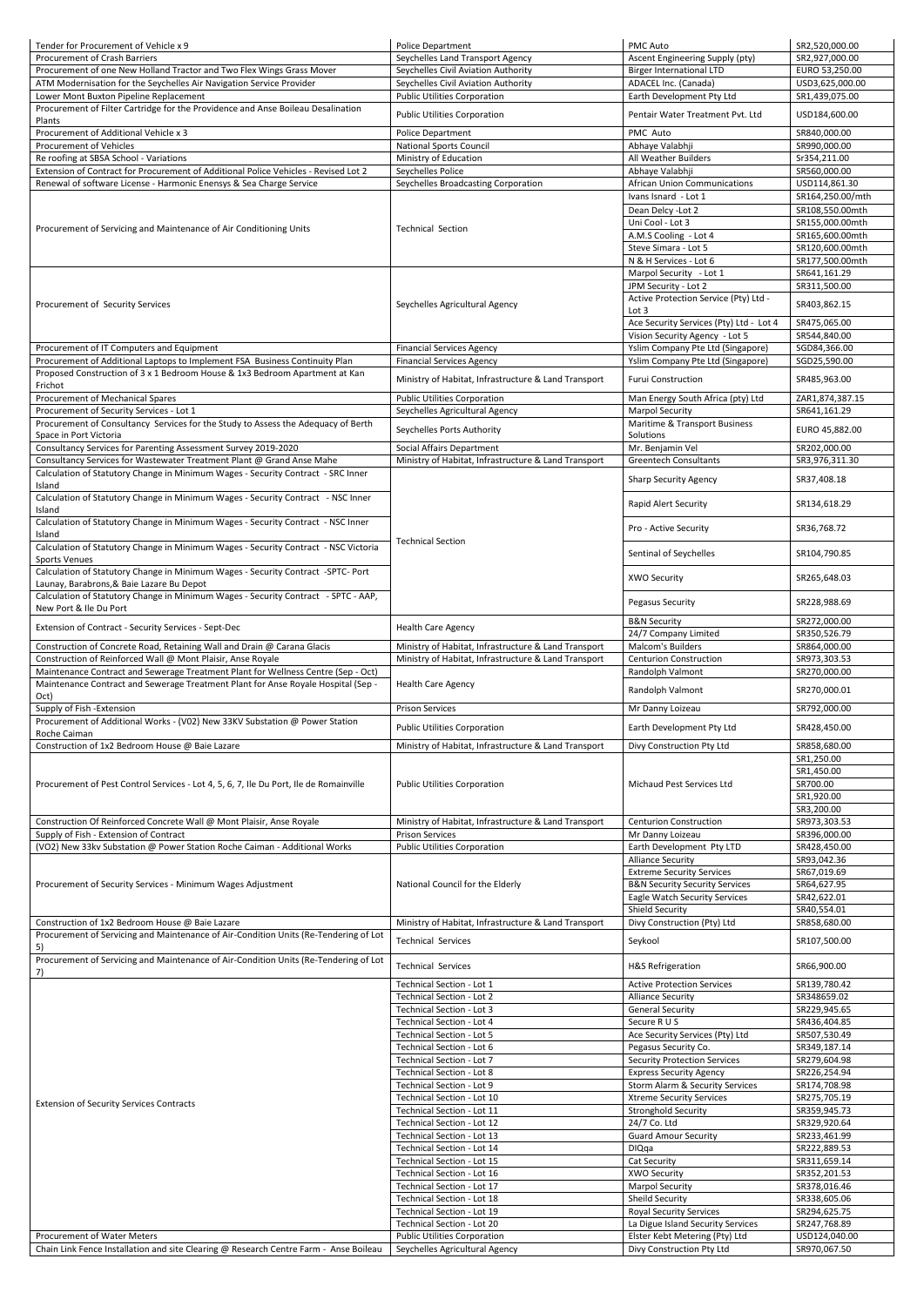| Tender for Procurement of Vehicle x 9                                                      | Police Department                                                 | PMC Auto                                                            | SR2,520,000.00                |
|--------------------------------------------------------------------------------------------|-------------------------------------------------------------------|---------------------------------------------------------------------|-------------------------------|
| <b>Procurement of Crash Barriers</b>                                                       | Seychelles Land Transport Agency                                  | Ascent Engineering Supply (pty)                                     | SR2,927,000.00                |
| Procurement of one New Holland Tractor and Two Flex Wings Grass Mover                      | Seychelles Civil Aviation Authority                               | <b>Birger International LTD</b>                                     | EURO 53,250.00                |
| ATM Modernisation for the Seychelles Air Navigation Service Provider                       | Seychelles Civil Aviation Authority                               | ADACEL Inc. (Canada)                                                | USD3,625,000.00               |
| Lower Mont Buxton Pipeline Replacement                                                     | <b>Public Utilities Corporation</b>                               | Earth Development Pty Ltd                                           | SR1,439,075.00                |
| Procurement of Filter Cartridge for the Providence and Anse Boileau Desalination           | <b>Public Utilities Corporation</b>                               | Pentair Water Treatment Pvt. Ltd                                    | USD184,600.00                 |
| Plants                                                                                     |                                                                   |                                                                     |                               |
| Procurement of Additional Vehicle x 3                                                      | <b>Police Department</b>                                          | PMC Auto                                                            | SR840,000.00                  |
| <b>Procurement of Vehicles</b>                                                             | <b>National Sports Council</b>                                    | Abhaye Valabhji                                                     | SR990,000.00                  |
| Re roofing at SBSA School - Variations                                                     | Ministry of Education                                             | All Weather Builders                                                | Sr354,211.00                  |
| Extension of Contract for Procurement of Additional Police Vehicles - Revised Lot 2        | Seychelles Police                                                 | Abhaye Valabhji                                                     | SR560,000.00                  |
| Renewal of software License - Harmonic Enensys & Sea Charge Service                        | Seychelles Broadcasting Corporation                               | <b>African Union Communications</b>                                 | USD114,861.30                 |
|                                                                                            | <b>Technical Section</b>                                          | Ivans Isnard - Lot 1                                                | SR164,250.00/mth              |
|                                                                                            |                                                                   | Dean Delcy - Lot 2                                                  | SR108,550.00mth               |
| Procurement of Servicing and Maintenance of Air Conditioning Units                         |                                                                   | Uni Cool - Lot 3                                                    | SR155,000.00mth               |
|                                                                                            |                                                                   | A.M.S Cooling - Lot 4                                               | SR165,600.00mth               |
|                                                                                            |                                                                   | Steve Simara - Lot 5                                                | SR120,600.00mth               |
|                                                                                            |                                                                   | N & H Services - Lot 6                                              | SR177,500.00mth               |
|                                                                                            |                                                                   | Marpol Security - Lot 1                                             | SR641,161.29                  |
|                                                                                            |                                                                   | JPM Security - Lot 2                                                | SR311,500.00                  |
| Procurement of Security Services                                                           | Seychelles Agricultural Agency                                    | Active Protection Service (Pty) Ltd -                               | SR403,862.15                  |
|                                                                                            |                                                                   | Lot 3                                                               |                               |
|                                                                                            |                                                                   | Ace Security Services (Pty) Ltd - Lot 4                             | SR475,065.00                  |
|                                                                                            |                                                                   | Vision Security Agency - Lot 5                                      | SR544,840.00                  |
| Procurement of IT Computers and Equipment                                                  | <b>Financial Services Agency</b>                                  | Yslim Company Pte Ltd (Singapore)                                   | SGD84,366.00                  |
| Procurement of Additional Laptops to Implement FSA Business Continuity Plan                | <b>Financial Services Agency</b>                                  | Yslim Company Pte Ltd (Singapore)                                   | SGD25,590.00                  |
| Proposed Construction of 3 x 1 Bedroom House & 1x3 Bedroom Apartment at Kan                | Ministry of Habitat, Infrastructure & Land Transport              | <b>Furui Construction</b>                                           | SR485,963.00                  |
| Frichot                                                                                    |                                                                   |                                                                     |                               |
| Procurement of Mechanical Spares                                                           | <b>Public Utilities Corporation</b>                               | Man Energy South Africa (pty) Ltd                                   | ZAR1,874,387.15               |
| Procurement of Security Services - Lot 1                                                   | Seychelles Agricultural Agency                                    | <b>Marpol Security</b>                                              | SR641,161.29                  |
| Procurement of Consultancy Services for the Study to Assess the Adequacy of Berth          | Seychelles Ports Authority                                        | Maritime & Transport Business                                       | EURO 45,882.00                |
| Space in Port Victoria                                                                     |                                                                   | Solutions                                                           |                               |
| Consultancy Services for Parenting Assessment Survey 2019-2020                             | Social Affairs Department                                         | Mr. Benjamin Vel                                                    | SR202,000.00                  |
| Consultancy Services for Wastewater Treatment Plant @ Grand Anse Mahe                      | Ministry of Habitat, Infrastructure & Land Transport              | <b>Greentech Consultants</b>                                        | SR3,976,311.30                |
| Calculation of Statutory Change in Minimum Wages - Security Contract - SRC Inner           |                                                                   | <b>Sharp Security Agency</b>                                        | SR37,408.18                   |
| Island                                                                                     |                                                                   |                                                                     |                               |
| Calculation of Statutory Change in Minimum Wages - Security Contract - NSC Inner           |                                                                   | Rapid Alert Security                                                | SR134,618.29                  |
| Island                                                                                     |                                                                   |                                                                     |                               |
| Calculation of Statutory Change in Minimum Wages - Security Contract - NSC Inner           |                                                                   | Pro - Active Security                                               | SR36,768.72                   |
| Island                                                                                     | <b>Technical Section</b>                                          |                                                                     |                               |
| Calculation of Statutory Change in Minimum Wages - Security Contract - NSC Victoria        |                                                                   | Sentinal of Seychelles                                              | SR104,790.85                  |
| <b>Sports Venues</b>                                                                       |                                                                   |                                                                     |                               |
| Calculation of Statutory Change in Minimum Wages - Security Contract -SPTC- Port           |                                                                   | <b>XWO Security</b>                                                 | SR265,648.03                  |
| Launay, Barabrons, & Baie Lazare Bu Depot                                                  |                                                                   |                                                                     |                               |
| Calculation of Statutory Change in Minimum Wages - Security Contract - SPTC - AAP,         |                                                                   | Pegasus Security                                                    | SR228,988.69                  |
| New Port & Ile Du Port                                                                     |                                                                   |                                                                     |                               |
| Extension of Contract - Security Services - Sept-Dec                                       | <b>Health Care Agency</b>                                         | <b>B&amp;N Security</b>                                             | SR272,000.00                  |
|                                                                                            |                                                                   | 24/7 Company Limited                                                | SR350,526.79                  |
|                                                                                            |                                                                   |                                                                     |                               |
| Construction of Concrete Road, Retaining Wall and Drain @ Carana Glacis                    | Ministry of Habitat, Infrastructure & Land Transport              | Malcom's Builders                                                   | SR864,000.00                  |
| Construction of Reinforced Wall @ Mont Plaisir, Anse Royale                                | Ministry of Habitat, Infrastructure & Land Transport              | <b>Centurion Construction</b>                                       | SR973,303.53                  |
| Maintenance Contract and Sewerage Treatment Plant for Wellness Centre (Sep - Oct)          |                                                                   | Randolph Valmont                                                    | SR270,000.00                  |
| Maintenance Contract and Sewerage Treatment Plant for Anse Royale Hospital (Sep -          | <b>Health Care Agency</b>                                         | Randolph Valmont                                                    | SR270,000.01                  |
| Oct)                                                                                       |                                                                   |                                                                     |                               |
| Supply of Fish -Extension                                                                  | <b>Prison Services</b>                                            | Mr Danny Loizeau                                                    | SR792,000.00                  |
| Procurement of Additional Works - (V02) New 33KV Substation @ Power Station                | <b>Public Utilities Corporation</b>                               | Earth Development Pty Ltd                                           | SR428,450.00                  |
| Roche Caiman                                                                               |                                                                   |                                                                     |                               |
| Construction of 1x2 Bedroom House @ Baie Lazare                                            | Ministry of Habitat, Infrastructure & Land Transport              | Divy Construction Pty Ltd                                           | SR858,680.00                  |
|                                                                                            |                                                                   |                                                                     | SR1,250.00                    |
|                                                                                            |                                                                   |                                                                     | SR1,450.00                    |
| Procurement of Pest Control Services - Lot 4, 5, 6, 7, Ile Du Port, Ile de Romainville     | <b>Public Utilities Corporation</b>                               | Michaud Pest Services Ltd                                           | SR700.00                      |
|                                                                                            |                                                                   |                                                                     | SR1,920.00                    |
|                                                                                            |                                                                   |                                                                     | SR3,200.00                    |
| Construction Of Reinforced Concrete Wall @ Mont Plaisir, Anse Royale                       | Ministry of Habitat, Infrastructure & Land Transport              | <b>Centurion Construction</b>                                       | SR973,303.53                  |
| Supply of Fish - Extension of Contract                                                     | <b>Prison Services</b>                                            | Mr Danny Loizeau                                                    | SR396,000.00                  |
| (VO2) New 33kv Substation @ Power Station Roche Caiman - Additional Works                  | <b>Public Utilities Corporation</b>                               | Earth Development Pty LTD                                           | SR428,450.00                  |
|                                                                                            |                                                                   | <b>Alliance Security</b>                                            | SR93,042.36                   |
|                                                                                            |                                                                   | <b>Extreme Security Services</b>                                    | SR67,019.69                   |
| Procurement of Security Services - Minimum Wages Adjustment                                | National Council for the Elderly                                  | <b>B&amp;N Security Security Services</b>                           | SR64,627.95                   |
|                                                                                            |                                                                   | Eagle Watch Security Services                                       | SR42,622.01                   |
|                                                                                            |                                                                   | <b>Shield Security</b>                                              | SR40,554.01                   |
| Construction of 1x2 Bedroom House @ Baie Lazare                                            | Ministry of Habitat, Infrastructure & Land Transport              | Divy Construction (Pty) Ltd                                         | SR858,680.00                  |
| Procurement of Servicing and Maintenance of Air-Condition Units (Re-Tendering of Lot<br>5) | <b>Technical Services</b>                                         | Seykool                                                             | SR107,500.00                  |
| Procurement of Servicing and Maintenance of Air-Condition Units (Re-Tendering of Lot       |                                                                   |                                                                     |                               |
| 7)                                                                                         | <b>Technical Services</b>                                         | <b>H&amp;S Refrigeration</b>                                        | SR66,900.00                   |
|                                                                                            | Technical Section - Lot 1                                         | <b>Active Protection Services</b>                                   | SR139,780.42                  |
|                                                                                            | Technical Section - Lot 2                                         | <b>Alliance Security</b>                                            | SR348659.02                   |
|                                                                                            | Technical Section - Lot 3                                         | <b>General Security</b>                                             | SR229,945.65                  |
|                                                                                            | Technical Section - Lot 4                                         | Secure R U S                                                        | SR436,404.85                  |
|                                                                                            | Technical Section - Lot 5                                         | Ace Security Services (Pty) Ltd                                     | SR507,530.49                  |
|                                                                                            | Technical Section - Lot 6                                         | Pegasus Security Co.                                                | SR349,187.14                  |
|                                                                                            | Technical Section - Lot 7                                         | <b>Security Protection Services</b>                                 | SR279,604.98                  |
|                                                                                            | Technical Section - Lot 8                                         | <b>Express Security Agency</b>                                      | SR226,254.94                  |
|                                                                                            | Technical Section - Lot 9                                         | Storm Alarm & Security Services                                     | SR174,708.98                  |
|                                                                                            | Technical Section - Lot 10                                        | <b>Xtreme Security Services</b>                                     | SR275,705.19                  |
| <b>Extension of Security Services Contracts</b>                                            | Technical Section - Lot 11                                        | <b>Stronghold Security</b>                                          | SR359,945.73                  |
|                                                                                            | Technical Section - Lot 12                                        | 24/7 Co. Ltd                                                        | SR329,920.64                  |
|                                                                                            | Technical Section - Lot 13                                        | <b>Guard Amour Security</b>                                         |                               |
|                                                                                            |                                                                   |                                                                     | SR233,461.99                  |
|                                                                                            | Technical Section - Lot 14<br>Technical Section - Lot 15          | <b>DIQqa</b>                                                        | SR222,889.53<br>SR311,659.14  |
|                                                                                            |                                                                   | Cat Security                                                        |                               |
|                                                                                            | Technical Section - Lot 16<br>Technical Section - Lot 17          | <b>XWO Security</b>                                                 | SR352,201.53<br>SR378,016.46  |
|                                                                                            | Technical Section - Lot 18                                        | <b>Marpol Security</b><br>Sheild Security                           |                               |
|                                                                                            |                                                                   |                                                                     | SR338,605.06                  |
|                                                                                            | Technical Section - Lot 19                                        | <b>Royal Security Services</b>                                      | SR294,625.75                  |
| Procurement of Water Meters                                                                | Technical Section - Lot 20<br><b>Public Utilities Corporation</b> | La Digue Island Security Services<br>Elster Kebt Metering (Pty) Ltd | SR247,768.89<br>USD124,040.00 |